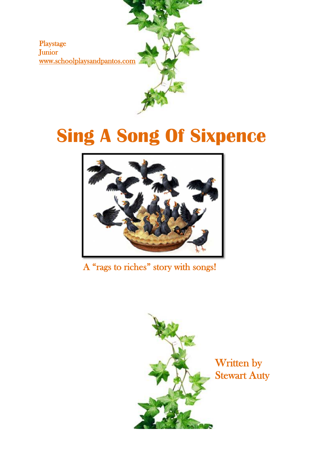Playstage Junior www.schoolplaysandpantos.com

# **Sing A Song Of Sixpence**



A "rags to riches" story with songs!

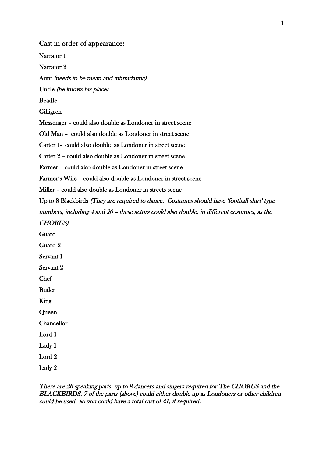Cast in order of appearance: Narrator 1 Narrator 2 Aunt (needs to be mean and intimidating) Uncle (he knows his place) Beadle Gilligren Messenger – could also double as Londoner in street scene Old Man – could also double as Londoner in street scene Carter 1- could also double as Londoner in street scene Carter 2 – could also double as Londoner in street scene Farmer - could also double as Londoner in street scene Farmer's Wife – could also double as Londoner in street scene Miller - could also double as Londoner in streets scene Up to 8 Blackbirds (They are required to dance. Costumes should have 'football shirt' type numbers, including  $4$  and  $20$  – these actors could also double, in different costumes, as the CHORUS) Guard 1 Guard 2 Servant 1 Servant 2 Chef Butler King **Oueen** Chancellor Lord 1 Lady 1 Lord 2 Lady 2

There are <sup>26</sup> speaking parts, up to <sup>8</sup> dancers and singers required for The CHORUS and the BLACKBIRDS. <sup>7</sup> of the parts (above) could either double up as Londoners or other children could be used. So you could have a total cast of 41, if required.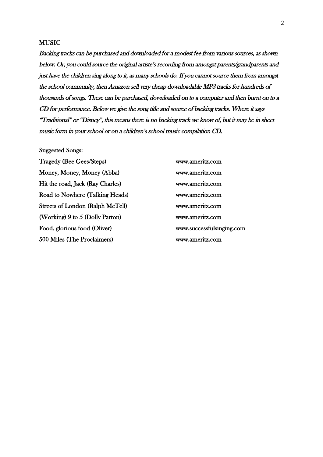#### MUSIC

Backing tracks can be purchased and downloaded for <sup>a</sup> modest fee from various sources, as shown below. Or, you could source the original artiste's recording from amongst parents/grandparents and just have the children sing along to it, as many schools do. If you cannot source them from amongst the school community, then Amazon sell very cheap downloadable MP3 tracks for hundreds of thousands of songs. These can be purchased, downloaded on to <sup>a</sup> computer and then burnt on to <sup>a</sup> CD for performance. Below we give the song title and source of backing tracks. Where it says "Traditional" or "Disney", this means there is no backing track we know of, but it may be in sheet music form in your school or on <sup>a</sup> children's school music compilation CD.

#### Suggested Songs:

Tragedy (Bee Gees/Steps) www.ameritz.com Money, Money, Money (Abba) www.ameritz.com Hit the road, Jack (Ray Charles) www.ameritz.com Road to Nowhere (Talking Heads) www.ameritz.com Streets of London (Ralph McTell) www.ameritz.com (Working) 9 to 5 (Dolly Parton) www.ameritz.com Food, glorious food (Oliver) www.successfulsinging.com 500 Miles (The Proclaimers) www.ameritz.com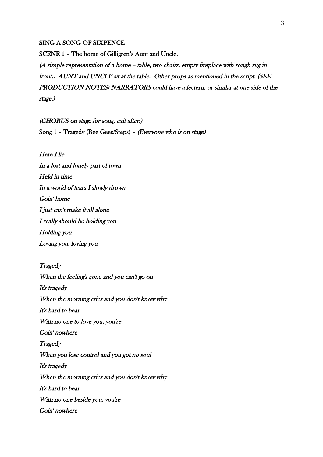SING A SONG OF SIXPENCE

SCENE 1 –The home of Gilligren's Aunt and Uncle. (A simple representation of a home - table, two chairs, empty fireplace with rough rug in front.. AUNT and UNCLE sit at the table. Other props as mentioned in the script. (SEE PRODUCTION NOTES) NARRATORS could have <sup>a</sup> lectern, or similar at one side of the stage.)

(CHORUS on stage for song, exit after.) Song 1 - Tragedy (Bee Gees/Steps) - (Everyone who is on stage)

Here <sup>I</sup> lie In <sup>a</sup> lost and lonely part of town Held in time In <sup>a</sup> world of tears <sup>I</sup> slowly drown Goin' home <sup>I</sup> just can't make it all alone <sup>I</sup> really should be holding you Holding you Loving you, loving you

**Tragedy** When the feeling's gone and you can't go on It's tragedy When the morning cries and you don't know why It's hard to bear With no one to love you, you're Goin' nowhere **Tragedy** When you lose control and you got no soul It's tragedy When the morning cries and you don't know why It's hard to bear With no one beside you, you're Goin' nowhere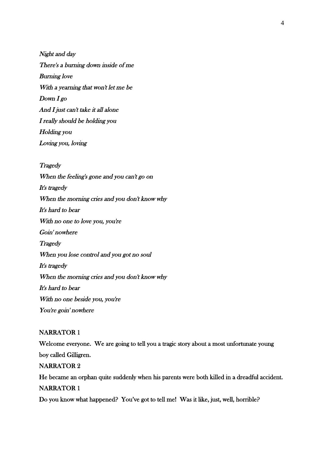Night and day There's <sup>a</sup> burning down inside of me Burning love With <sup>a</sup> yearning that won't let me be Down I go And <sup>I</sup> just can't take it all alone <sup>I</sup> really should be holding you Holding you Loving you, loving

**Tragedy** When the feeling's gone and you can't go on It's tragedy When the morning cries and you don't know why It's hard to bear With no one to love you, you're Goin' nowhere **Tragedy** When you lose control and you got no soul It's tragedy When the morning cries and you don't know why It's hard to bear With no one beside you, you're You're goin' nowhere

#### NARRATOR 1

Welcome everyone. We are going to tell you a tragic story about a most unfortunate young boy called Gilligren. NARRATOR 2

He became an orphan quite suddenly when his parents were both killed in a dreadful accident. NARRATOR 1

Do you know what happened? You've got to tell me! Was it like, just, well, horrible?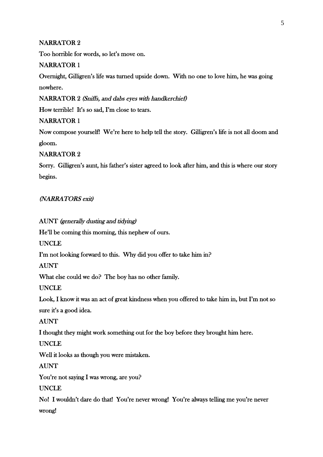#### NARRATOR 2

Too horrible for words, so let's move on.

## NARRATOR 1

Overnight, Gilligren's life was turned upside down. With no one to love him, he was going nowhere.

NARRATOR 2 (Sniffs, and dabs eyes with handkerchief)

How terrible! It's so sad, I'm close to tears.

#### NARRATOR 1

Now compose yourself! We're here to help tell the story. Gilligren's life is not all doom and gloom.

#### NARRATOR 2

Sorry. Gilligren's aunt, his father's sister agreed to look after him, and this is where our story begins.

#### (NARRATORS exit)

AUNT (generally dusting and tidying)

He'll be coming this morning, this nephew of ours.

UNCLE

I'm not looking forward to this. Why did you offer to take him in?

AUNT

What else could we do? The boy has no other family.

UNCLE

Look, I know it was an act of great kindness when you offered to take him in, but I'm not so sure it's a good idea.

AUNT

I thought they might work something out for the boy before they brought him here.

UNCLE

Well it looks as though you were mistaken.

AUNT

You're not saying I was wrong, are you?

UNCLE

No! I wouldn't dare do that! You're never wrong! You're always telling me you're never wrong!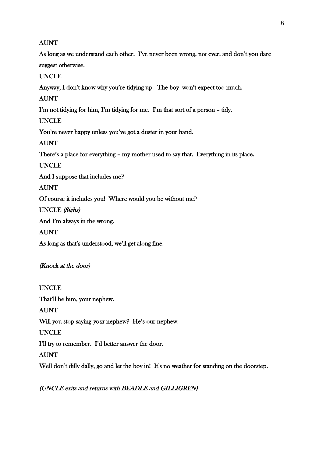As long as we understand each other. I've never been wrong, not ever, and don't you dare suggest otherwise.

UNCLE

Anyway, I don't know why you're tidying up. The boy won't expect too much.

AUNT

I'm not tidying for him, I'm tidying for me. I'm that sort of a person - tidy.

UNCLE

You're never happy unless you've got a duster in your hand.

AUNT

There's a place for everything – my mother used to say that. Everything in its place.

UNCLE

And I suppose that includes me?

AUNT

Of course it includes you! Where would you be without me?

UNCLE (Sighs)

And I'm always in the wrong.

AUNT

As long as that's understood, we'll get along fine.

(Knock at the door)

UNCLE That'll be him, your nephew. AUNT Will you stop saying *your* nephew? He's our nephew. UNCLE I'll try to remember. I'd better answer the door. AUNT Well don't dilly dally, go and let the boy in! It's no weather for standing on the doorstep.

(UNCLE exits and returns with BEADLE and GILLIGREN)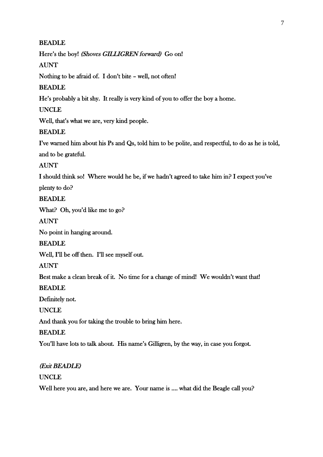#### BEADLE

Here's the boy! (Shoves GILLIGREN forward) Go on!

AUNT

Nothing to be afraid of. I don't bite - well, not often!

#### BEADLE

He's probably a bit shy. It really is very kind of you to offer the boy a home.

## UNCLE

Well, that's what we are, very kind people.

#### BEADLE

I've warned him about his Ps and Qs, told him to be polite, and respectful, to do as he is told,

and to be grateful.

## AUNT

I should think so! Where would he be, if we hadn't agreed to take him in? I expect you've

plenty to do?

#### BEADLE

What? Oh, you'd like me to go?

#### AUNT

No point in hanging around.

## BEADLE

Well, I'll be off then. I'll see myself out.

#### AUNT

Best make a clean break of it. No time for a change of mind! We wouldn't want that!

#### BEADLE

Definitely not.

## UNCLE

And thank you for taking the trouble to bring him here.

## BEADLE

You'll have lots to talk about. His name's Gilligren, by the way, in case you forgot.

## (Exit BEADLE)

## UNCLE

Well here you are, and here we are. Your name is .... what did the Beagle call you?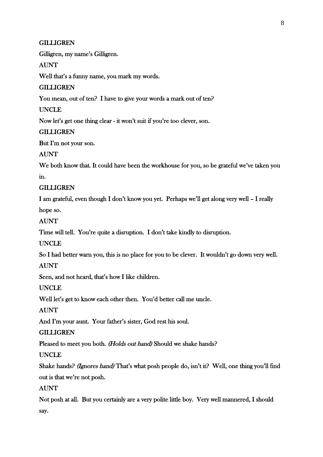## GILLIGREN

Gilligren, my name's Gilligren.

AUNT

Well that's a funny name, you mark my words.

## **GILLIGREN**

You mean, out of ten? I have to give your words a mark out of ten?

## UNCLE

Now let's get one thing clear - it won't suit if you're too clever, son.

#### GILLIGREN

But I'm not your son.

#### **AUNT**

We both know that. It could have been the workhouse for you, so be grateful we've taken you in.

#### **GILLIGREN**

I am grateful, even though I don't know you yet. Perhaps we'll get along very well –I really hope so.

#### AUNT

Time will tell. You're quite a disruption. I don't take kindly to disruption.

#### UNCLE

So I had better warn you, this is no place for you to be clever. It wouldn't go down very well. **AUNT** 

Seen, and not heard, that's how I like children.

#### UNCLE

Well let's get to know each other then. You'd better call me uncle.

#### AUNT

And I'm your aunt. Your father's sister, God rest his soul.

#### GILLIGREN

Pleased to meet you both. (Holds out hand) Should we shake hands?

## UNCLE

Shake hands? (Ignores hand) That's what posh people do, isn't it? Well, one thing you'll find out is that we're not posh.

## AUNT

Not posh at all. But you certainly are a very polite little boy. Very well mannered, I should say.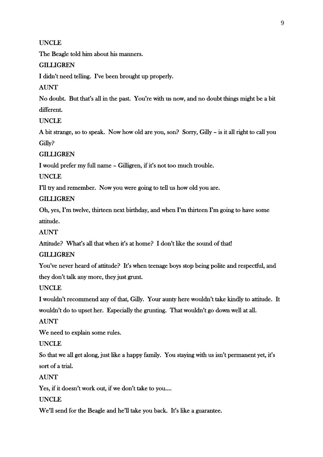UNCLE

The Beagle told him about his manners.

## GILLIGREN

I didn't need telling. I've been brought up properly.

AUNT

No doubt. But that's all in the past. You're with us now, and no doubt things might be a bit different.

# UNCLE

A bit strange, so to speak. Now how old are you, son? Sorry, Gilly –is it all right to call you Gilly?

# GILLIGREN

I would prefer my full name –Gilligren, if it's not too much trouble.

## UNCLE

I'll try and remember. Now you were going to tell us how old you are.

# GILLIGREN

Oh, yes, I'm twelve, thirteen next birthday, and when I'm thirteen I'm going to have some attitude.

AUNT

Attitude? What's all that when it's at home? I don't like the sound of that!

# **GILLIGREN**

You've never heard of attitude? It's when teenage boys stop being polite and respectful, and

they don't talk any more, they just grunt.

UNCLE

I wouldn't recommend any of that, Gilly. Your aunty here wouldn't take kindly to attitude. It wouldn't do to upset her. Especially the grunting. That wouldn't go down well at all.

AUNT

We need to explain some rules.

# UNCLE

So that we all get along, just like a happy family. You staying with us isn't permanent yet, it's sort of a trial.

# AUNT

Yes, if it doesn't work out, if we don't take to you....

## **UNCLE**

We'll send for the Beagle and he'll take you back. It's like a guarantee.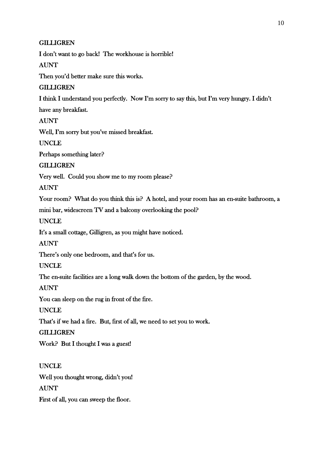## GILLIGREN

I don't want to go back! The workhouse is horrible!

AUNT

Then you'd better make sure this works.

## GILLIGREN

I think I understand you perfectly. Now I'm sorry to say this, but I'm very hungry. I didn't

have any breakfast.

AUNT

Well, I'm sorry but you've missed breakfast.

UNCLE

Perhaps something later?

**GILLIGREN** 

Very well. Could you show me to my room please?

AUNT

Your room? What do you think this is? A hotel, and your room has an en-suite bathroom, a

mini bar, widescreen TV and a balcony overlooking the pool?

UNCLE

It's a small cottage, Gilligren, as you might have noticed.

AUNT

There's only one bedroom, and that's for us.

UNCLE

The en-suite facilities are a long walk down the bottom of the garden, by the wood.

AUNT

You can sleep on the rug in front of the fire.

UNCLE

That's if we had a fire. But, first of all, we need to set you to work.

GILLIGREN

Work? But I thought I was a guest!

UNCLE

Well you thought wrong, didn't you!

AUNT

First of all, you can sweep the floor.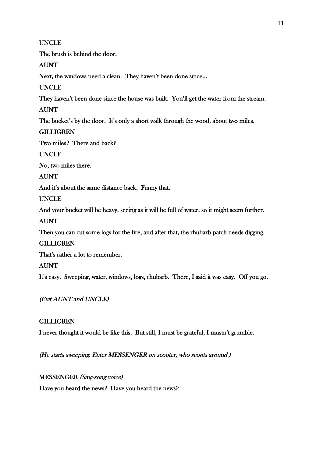UNCLE

The brush is behind the door.

AUNT

Next, the windows need a clean. They haven't been done since...

UNCLE

They haven't been done since the house was built. You'll get the water from the stream.

AUNT

The bucket's by the door. It's only a short walk through the wood, about two miles.

GILLIGREN

Two miles? There and back?

**UNCLE** 

No, two miles there.

AUNT

And it's about the same distance back. Funny that.

UNCLE

And your bucket will be heavy, seeing as it will be full of water, so it might seem further.

AUNT

Then you can cut some logs for the fire, and after that, the rhubarb patch needs digging.

## GILLIGREN

That's rather a lot to remember.

AUNT

It's easy. Sweeping, water, windows, logs, rhubarb. There, I said it was easy. Off you go.

(Exit AUNT and UNCLE)

#### GILLIGREN

I never thought it would be like this. But still, I must be grateful, I mustn't grumble.

(He starts sweeping. Enter MESSENGER on scooter, who scoots around )

MESSENGER (Sing-song voice) Have you heard the news? Have you heard the news?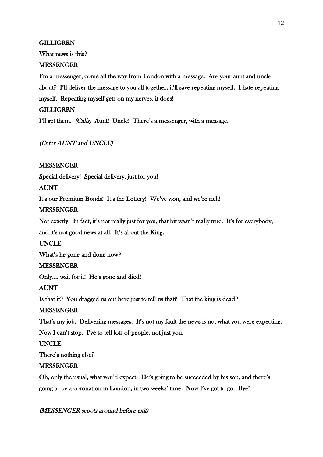#### GILLIGREN

What news is this?

#### **MESSENGER**

I'm a messenger, come all the way from London with a message. Are your aunt and uncle about? I'll deliver the message to you all together, it'll save repeating myself. I hate repeating myself. Repeating myself gets on my nerves, it does! GILLIGREN

I'll get them. (Calls) Aunt! Uncle! There's a messenger, with a message.

#### (Enter AUNT and UNCLE)

#### MESSENGER

Special delivery! Special delivery, just for you!

#### AUNT

It's our Premium Bonds! It's the Lottery! We've won, and we're rich!

#### MESSENGER

Not exactly. In fact, it's not really just for you, that bit wasn't really true. It's for everybody,

and it's not good news at all. It's about the King.

#### UNCLE

What's he gone and done now?

#### **MESSENGER**

Only.... wait for it! He's gone and died!

#### AUNT

Is that it? You dragged us out here just to tell us that? That the king is dead?

#### MESSENGER

That's my job. Delivering messages. It's not my fault the news is not what you were expecting.

Now I can't stop. I've to tell lots of people, not just you.

#### UNCLE

There's nothing else?

## **MESSENGER**

Oh, only the usual, what you'd expect. He's going to be succeeded by his son, and there's going to be a coronation in London, in two weeks' time. Now I've got to go. Bye!

#### (MESSENGER scoots around before exit)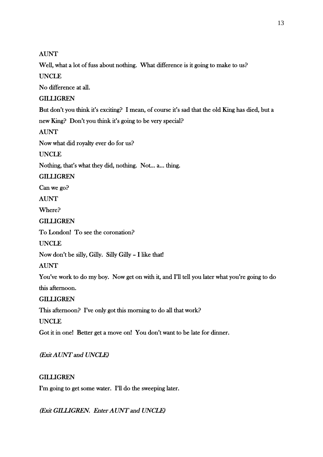Well, what a lot of fuss about nothing. What difference is it going to make to us?

UNCLE

No difference at all.

#### **GILLIGREN**

But don't you think it's exciting? I mean, of course it's sad that the old King has died, but a

new King? Don't you think it's going to be very special?

AUNT

Now what did royalty ever do for us?

UNCLE

Nothing, that's what they did, nothing. Not... a... thing.

GILLIGREN

Can we go?

AUNT

Where?

GILLIGREN

To London! To see the coronation?

UNCLE

Now don't be silly, Gilly. Silly Gilly –I like that!

AUNT

You've work to do my boy. Now get on with it, and I'll tell you later what you're going to do this afternoon.

GILLIGREN

This afternoon? I've only got this morning to do all that work?

UNCLE

Got it in one! Better get a move on! You don't want to be late for dinner.

(Exit AUNT and UNCLE)

## GILLIGREN

I'm going to get some water. I'll do the sweeping later.

(Exit GILLIGREN. Enter AUNT and UNCLE)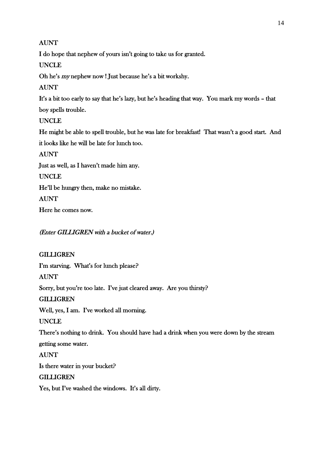I do hope that nephew of yours isn't going to take us for granted.

UNCLE

Oh he's my nephew now ! Just because he's a bit workshy.

AUNT

It's a bit too early to say that he's lazy, but he's heading that way. You mark my words - that

boy spells trouble.

UNCLE

He might be able to spell trouble, but he was late for breakfast! That wasn't a good start. And it looks like he will be late for lunch too.

AUNT

Just as well, as I haven't made him any.

UNCLE

He'll be hungry then, make no mistake.

AUNT

Here he comes now.

(Enter GILLIGREN with <sup>a</sup> bucket of water.)

# GILLIGREN

I'm starving. What's for lunch please?

AUNT

Sorry, but you're too late. I've just cleared away. Are you thirsty?

GILLIGREN

Well, yes, I am. I've worked all morning.

UNCLE

There's nothing to drink. You should have had a drink when you were down by the stream

getting some water.

AUNT

Is there water in your bucket?

GILLIGREN

Yes, but I've washed the windows. It's all dirty.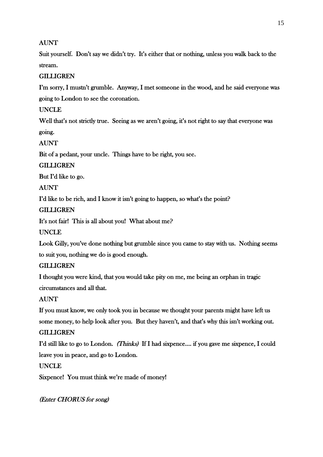Suit yourself. Don't say we didn't try. It's either that or nothing, unless you walk back to the stream.

## **GILLIGREN**

I'm sorry, I mustn't grumble. Anyway, I met someone in the wood, and he said everyone was going to London to see the coronation.

UNCLE

Well that's not strictly true. Seeing as we aren't going, it's not right to say that everyone was going.

AUNT

Bit of a pedant, your uncle. Things have to be right, you see.

## **GILLIGREN**

But I'd like to go.

AUNT

I'd like to be rich, and I know it isn't going to happen, so what's the point?

#### GILLIGREN

It's not fair! This is all about you! What about me?

UNCLE

Look Gilly, you've done nothing but grumble since you came to stay with us. Nothing seems to suit you, nothing we do is good enough.

## GILLIGREN

I thought you were kind, that you would take pity on me, me being an orphan in tragic circumstances and all that.

## AUNT

If you must know, we only took you in because we thought your parents might have left us some money, to help look after you. But they haven't, and that's why this isn't working out.

## GILLIGREN

I'd still like to go to London. (Thinks) If I had sixpence.... if you gave me sixpence, I could leave you in peace, and go to London.

UNCLE

Sixpence! You must think we're made of money!

(Enter CHORUS for song)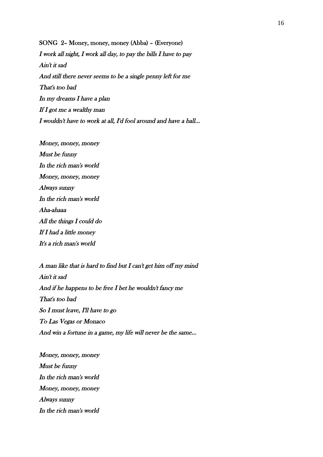SONG 2- Money, money, money (Abba) - (Everyone) <sup>I</sup> work all night, <sup>I</sup> work all day, to pay the bills <sup>I</sup> have to pay Ain't it sad And still there never seems to be <sup>a</sup> single penny left for me That's too bad In my dreams <sup>I</sup> have <sup>a</sup> plan If  $I$  got me a wealthy man <sup>I</sup> wouldn't have to work at all, I'd fool around and have <sup>a</sup> ball...

Money, money, money Must be funny In the rich man's world Money, money, money Always sunny In the rich man's world Aha-ahaaa All the things <sup>I</sup> could do If I had a little money It's <sup>a</sup> rich man's world

<sup>A</sup> man like that is hard to find but <sup>I</sup> can't get him off my mind Ain't it sad And if he happens to be free <sup>I</sup> bet he wouldn't fancy me That's too bad So <sup>I</sup> must leave, I'll have to go To Las Vegas or Monaco And win <sup>a</sup> fortune in <sup>a</sup> game, my life will never be the same...

Money, money, money Must be funny In the rich man's world Money, money, money Always sunny In the rich man's world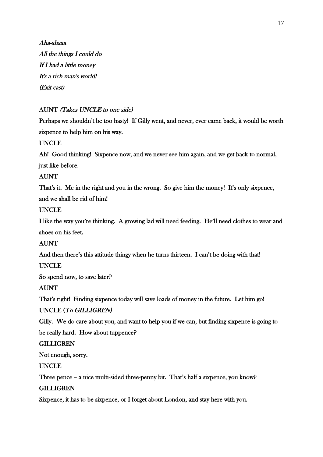Aha-ahaaa All the things <sup>I</sup> could do If <sup>I</sup> had <sup>a</sup> little money It's <sup>a</sup> rich man's world! (Exit cast)

## AUNT (Takes UNCLE to one side)

Perhaps we shouldn't be too hasty! If Gilly went, and never, ever came back, it would be worth sixpence to help him on his way.

UNCLE

Ah! Good thinking! Sixpence now, and we never see him again, and we get back to normal, just like before.

AUNT

That's it. Me in the right and you in the wrong. So give him the money! It's only sixpence, and we shall be rid of him!

UNCLE

I like the way you're thinking. A growing lad will need feeding. He'll need clothes to wear and shoes on his feet.

AUNT

And then there's this attitude thingy when he turns thirteen. I can't be doing with that!

UNCLE

So spend now, to save later?

AUNT

That's right! Finding sixpence today will save loads of money in the future. Let him go!

UNCLE (To GILLIGREN)

Gilly. We do care about you, and want to help you if we can, but finding sixpence is going to be really hard. How about tuppence?

GILLIGREN

Not enough, sorry.

UNCLE

Three pence – a nice multi-sided three-penny bit. That's half a sixpence, you know?

GILLIGREN

Sixpence, it has to be sixpence, or I forget about London, and stay here with you.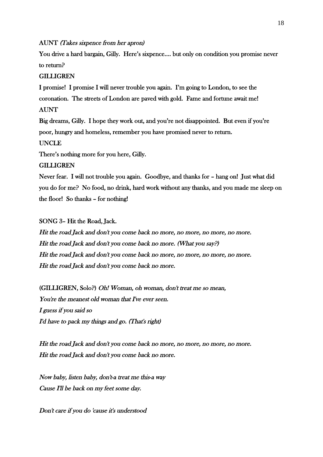#### AUNT (Takes sixpence from her apron)

You drive a hard bargain, Gilly. Here's sixpence.... but only on condition you promise never to return?

#### **GILLIGREN**

I promise! I promise I will never trouble you again. I'm going to London, to see the coronation. The streets of London are paved with gold. Fame and fortune await me! AUNT

Big dreams, Gilly. I hope they work out, and you're not disappointed. But even if you're poor, hungry and homeless, remember you have promised never to return. UNCLE

There's nothing more for you here, Gilly.

#### GILLIGREN

Never fear. I will not trouble you again. Goodbye, and thanks for - hang on! Just what did you do for me? No food, no drink, hard work without any thanks, and you made me sleep on the floor! So thanks - for nothing!

#### SONG 3- Hit the Road, Jack.

Hit the road Jack and don't you come back no more, no more, no more, no more. Hit the road Jack and don't you come back no more. (What you say?) Hit the road Jack and don't you come back no more, no more, no more, no more. Hit the road Jack and don't you come back no more.

(GILLIGREN, Solo?) Oh! Woman, oh woman, don't treat me so mean, You're the meanest old woman that I've ever seen. <sup>I</sup> guess if you said so I'd have to pack my things and go. (That's right)

Hit the road Jack and don't you come back no more, no more, no more, no more. Hit the road Jack and don't you come back no more.

Now baby, listen baby, don't-a treat me this-a way Cause I'll be back on my feet some day.

Don't care if you do 'cause it's understood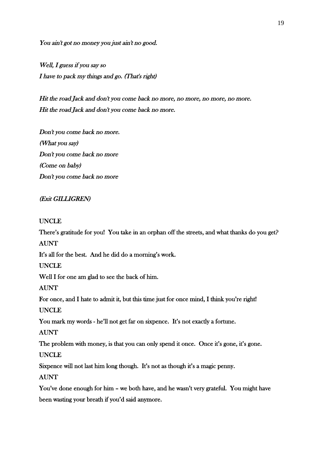You ain't got no money you just ain't no good.

Well, <sup>I</sup> guess if you say so <sup>I</sup> have to pack my things and go. (That's right)

Hit the road Jack and don't you come back no more, no more, no more, no more. Hit the road Jack and don't you come back no more.

Don't you come back no more. (What you say) Don't you come back no more (Come on baby) Don't you come back no more

#### (Exit GILLIGREN)

#### UNCLE

There's gratitude for you! You take in an orphan off the streets, and what thanks do you get? AUNT

It's all for the best. And he did do a morning's work.

UNCLE

Well I for one am glad to see the back of him.

AUNT

For once, and I hate to admit it, but this time just for once mind, I think you're right!

UNCLE

You mark my words - he'll not get far on sixpence. It's not exactly a fortune.

AUNT

The problem with money, is that you can only spend it once. Once it's gone, it's gone.

UNCLE

Sixpence will not last him long though. It's not as though it's a magic penny.

AUNT

You've done enough for him – we both have, and he wasn't very grateful. You might have been wasting your breath if you'd said anymore.